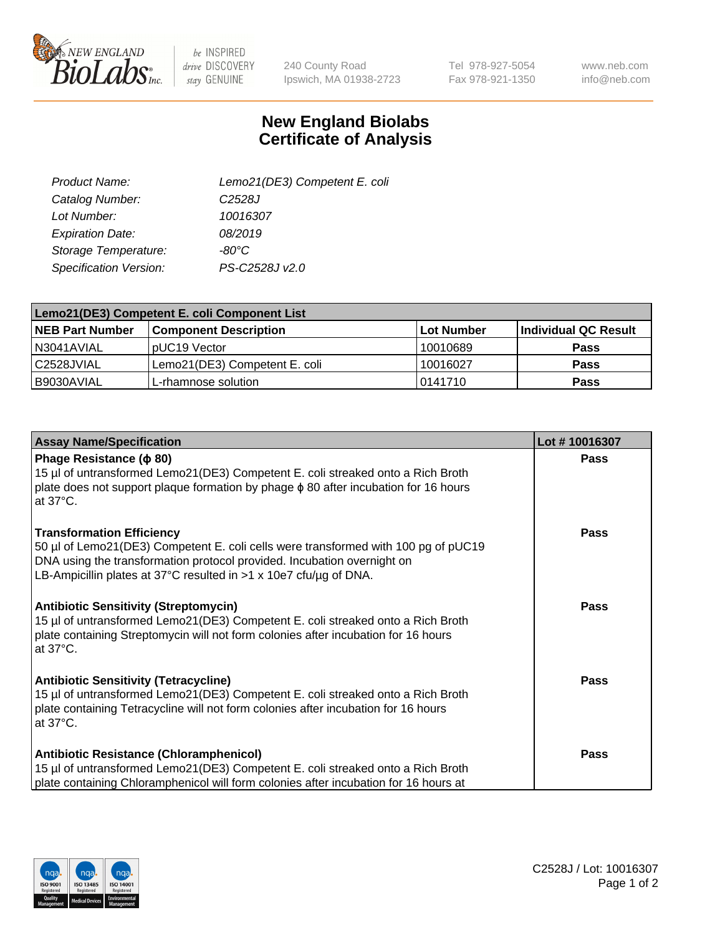

 $be$  INSPIRED drive DISCOVERY stay GENUINE

240 County Road Ipswich, MA 01938-2723 Tel 978-927-5054 Fax 978-921-1350

www.neb.com info@neb.com

## **New England Biolabs Certificate of Analysis**

| Lemo21(DE3) Competent E. coli |
|-------------------------------|
| C <sub>2528</sub> J           |
| 10016307                      |
| 08/2019                       |
| -80°C                         |
| PS-C2528J v2.0                |
|                               |

| Lemo21(DE3) Competent E. coli Component List |                               |                   |                      |  |
|----------------------------------------------|-------------------------------|-------------------|----------------------|--|
| <b>NEB Part Number</b>                       | <b>Component Description</b>  | <b>Lot Number</b> | Individual QC Result |  |
| I N3041AVIAL                                 | IpUC19 Vector                 | 10010689          | <b>Pass</b>          |  |
| C2528JVIAL                                   | Lemo21(DE3) Competent E. coli | 10016027          | <b>Pass</b>          |  |
| B9030AVIAL                                   | L-rhamnose solution           | 0141710           | <b>Pass</b>          |  |

| <b>Assay Name/Specification</b>                                                                                                                                                                                                                                        | Lot #10016307 |
|------------------------------------------------------------------------------------------------------------------------------------------------------------------------------------------------------------------------------------------------------------------------|---------------|
| Phage Resistance ( $\phi$ 80)<br>15 µl of untransformed Lemo21(DE3) Competent E. coli streaked onto a Rich Broth<br>plate does not support plaque formation by phage $\phi$ 80 after incubation for 16 hours<br>at $37^{\circ}$ C.                                     | <b>Pass</b>   |
| <b>Transformation Efficiency</b><br>50 µl of Lemo21(DE3) Competent E. coli cells were transformed with 100 pg of pUC19<br>DNA using the transformation protocol provided. Incubation overnight on<br>LB-Ampicillin plates at 37°C resulted in >1 x 10e7 cfu/ug of DNA. | <b>Pass</b>   |
| <b>Antibiotic Sensitivity (Streptomycin)</b><br>15 µl of untransformed Lemo21(DE3) Competent E. coli streaked onto a Rich Broth<br>plate containing Streptomycin will not form colonies after incubation for 16 hours<br>at 37°C.                                      | <b>Pass</b>   |
| <b>Antibiotic Sensitivity (Tetracycline)</b><br>15 µl of untransformed Lemo21(DE3) Competent E. coli streaked onto a Rich Broth<br>plate containing Tetracycline will not form colonies after incubation for 16 hours<br>at $37^{\circ}$ C.                            | <b>Pass</b>   |
| Antibiotic Resistance (Chloramphenicol)<br>15 µl of untransformed Lemo21(DE3) Competent E. coli streaked onto a Rich Broth<br>plate containing Chloramphenicol will form colonies after incubation for 16 hours at                                                     | <b>Pass</b>   |